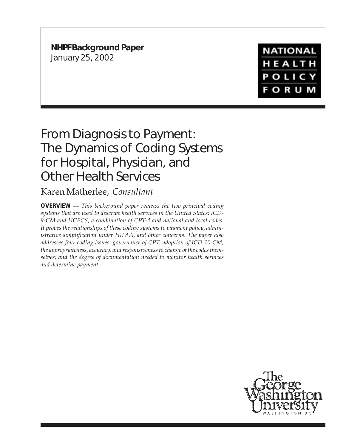**NHPF Background Paper** January 25, 2002

**NATIONAL** HEALTH **POLICY FORUM** 

# From Diagnosis to Payment: The Dynamics of Coding Systems for Hospital, Physician, and Other Health Services

# Karen Matherlee, *Consultant*

**OVERVIEW —** *This background paper reviews the two principal coding systems that are used to describe health services in the United States: ICD-9-CM and HCPCS, a combination of CPT-4 and national and local codes. It probes the relationships of these coding systems to payment policy, administrative simplification under HIPAA, and other concerns. The paper also addresses four coding issues: governance of CPT; adoption of ICD-10-CM; the appropriateness, accuracy, and responsiveness to change of the codes themselves; and the degree of documentation needed to monitor health services and determine payment.*

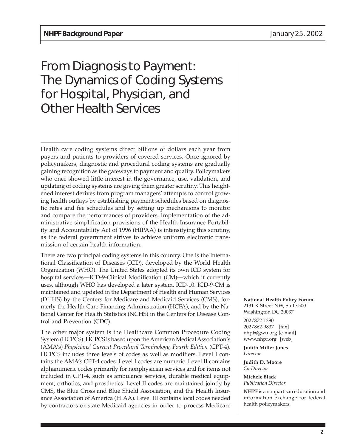# From Diagnosis to Payment: The Dynamics of Coding Systems for Hospital, Physician, and Other Health Services

Health care coding systems direct billions of dollars each year from payers and patients to providers of covered services. Once ignored by policymakers, diagnostic and procedural coding systems are gradually gaining recognition as the gateways to payment and quality. Policymakers who once showed little interest in the governance, use, validation, and updating of coding systems are giving them greater scrutiny. This heightened interest derives from program managers' attempts to control growing health outlays by establishing payment schedules based on diagnostic rates and fee schedules and by setting up mechanisms to monitor and compare the performances of providers. Implementation of the administrative simplification provisions of the Health Insurance Portability and Accountability Act of 1996 (HIPAA) is intensifying this scrutiny, as the federal government strives to achieve uniform electronic transmission of certain health information.

There are two principal coding systems in this country. One is the International Classification of Diseases (ICD), developed by the World Health Organization (WHO). The United States adopted its own ICD system for hospital services—ICD-9-Clinical Modification (CM)—which it currently uses, although WHO has developed a later system, ICD-10. ICD-9-CM is maintained and updated in the Department of Health and Human Services (DHHS) by the Centers for Medicare and Medicaid Services (CMS), formerly the Health Care Financing Administration (HCFA), and by the National Center for Health Statistics (NCHS) in the Centers for Disease Control and Prevention (CDC).

The other major system is the Healthcare Common Procedure Coding System (HCPCS). HCPCS is based upon the American Medical Association's (AMA's) *Physicians' Current Procedural Terminology, Fourth Edition* (CPT-4). HCPCS includes three levels of codes as well as modifiers. Level I contains the AMA's CPT-4 codes. Level I codes are numeric. Level II contains alphanumeric codes primarily for nonphysician services and for items not included in CPT-4, such as ambulance services, durable medical equipment, orthotics, and prosthetics. Level II codes are maintained jointly by CMS, the Blue Cross and Blue Shield Association, and the Health Insurance Association of America (HIAA). Level III contains local codes needed by contractors or state Medicaid agencies in order to process Medicare

**National Health Policy Forum** 2131 K Street NW, Suite 500 Washington DC 20037

202/872-1390 202/862-9837 [fax] nhpf@gwu.org [e-mail] www.nhpf.org [web]

**Judith Miller Jones** *Director*

**Judith D. Moore** *Co-Director*

**Michele Black** *Publication Director*

**NHPF** is a nonpartisan education and information exchange for federal health policymakers.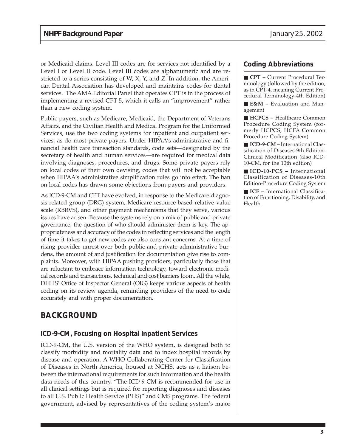or Medicaid claims. Level III codes are for services not identified by a Level I or Level II code. Level III codes are alphanumeric and are restricted to a series consisting of W, X, Y, and Z. In addition, the American Dental Association has developed and maintains codes for dental services. The AMA Editorial Panel that operates CPT is in the process of implementing a revised CPT-5, which it calls an "improvement" rather than a new coding system.

Public payers, such as Medicare, Medicaid, the Department of Veterans Affairs, and the Civilian Health and Medical Program for the Uniformed Services, use the two coding systems for inpatient and outpatient services, as do most private payers. Under HIPAA's administrative and financial health care transaction standards, code sets—designated by the secretary of health and human services—are required for medical data involving diagnoses, procedures, and drugs. Some private payers rely on local codes of their own devising, codes that will not be acceptable when HIPAA's administrative simplification rules go into effect. The ban on local codes has drawn some objections from payers and providers.

As ICD-9-CM and CPT have evolved, in response to the Medicare diagnosis-related group (DRG) system, Medicare resource-based relative value scale (RBRVS), and other payment mechanisms that they serve, various issues have arisen. Because the systems rely on a mix of public and private governance, the question of who should administer them is key. The appropriateness and accuracy of the codes in reflecting services and the length of time it takes to get new codes are also constant concerns. At a time of rising provider unrest over both public and private administrative burdens, the amount of and justification for documentation give rise to complaints. Moreover, with HIPAA pushing providers, particularly those that are reluctant to embrace information technology, toward electronic medical records and transactions, technical and cost barriers loom. All the while, DHHS' Office of Inspector General (OIG) keeps various aspects of health coding on its review agenda, reminding providers of the need to code accurately and with proper documentation.

# **BACKGROUND**

#### **ICD-9-CM, Focusing on Hospital Inpatient Services**

ICD-9-CM, the U.S. version of the WHO system, is designed both to classify morbidity and mortality data and to index hospital records by disease and operation. A WHO Collaborating Center for Classification of Diseases in North America, housed at NCHS, acts as a liaison between the international requirements for such information and the health data needs of this country. "The ICD-9-CM is recommended for use in all clinical settings but is required for reporting diagnoses and diseases to all U.S. Public Health Service (PHS)" and CMS programs. The federal government, advised by representatives of the coding system's major

#### **Coding Abbreviations**

■ **CPT –** Current Procedural Terminology (followed by the edition, as in CPT-4, meaning Current Procedural Terminology-4th Edition)

■ **E&M** – Evaluation and Management

■ **HCPCS** – Healthcare Common Procedure Coding System (formerly HCPCS, HCFA Common Procedure Coding System)

■ **ICD-9-CM** – International Classification of Diseases-9th Edition-Clinical Modification (also ICD-10-CM, for the 10th edition)

■ **ICD-10-PCS –** International Classification of Diseases-10th Edition-Procedure Coding System

■ **ICF** – International Classification of Functioning, Disability, and Health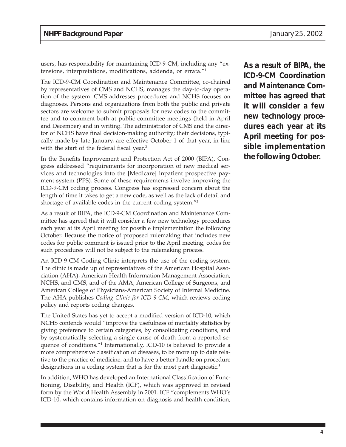users, has responsibility for maintaining ICD-9-CM, including any "extensions, interpretations, modifications, addenda, or errata."1

The ICD-9-CM Coordination and Maintenance Committee, co-chaired by representatives of CMS and NCHS, manages the day-to-day operation of the system. CMS addresses procedures and NCHS focuses on diagnoses. Persons and organizations from both the public and private sectors are welcome to submit proposals for new codes to the committee and to comment both at public committee meetings (held in April and December) and in writing. The administrator of CMS and the director of NCHS have final decision-making authority; their decisions, typically made by late January, are effective October 1 of that year, in line with the start of the federal fiscal year.<sup>2</sup>

In the Benefits Improvement and Protection Act of 2000 (BIPA), Congress addressed "requirements for incorporation of new medical services and technologies into the [Medicare] inpatient prospective payment system (PPS). Some of these requirements involve improving the ICD-9-CM coding process. Congress has expressed concern about the length of time it takes to get a new code, as well as the lack of detail and shortage of available codes in the current coding system."3

As a result of BIPA, the ICD-9-CM Coordination and Maintenance Committee has agreed that it will consider a few new technology procedures each year at its April meeting for possible implementation the following October. Because the notice of proposed rulemaking that includes new codes for public comment is issued prior to the April meeting, codes for such procedures will not be subject to the rulemaking process.

An ICD-9-CM Coding Clinic interprets the use of the coding system. The clinic is made up of representatives of the American Hospital Association (AHA), American Health Information Management Association, NCHS, and CMS, and of the AMA, American College of Surgeons, and American College of Physicians-American Society of Internal Medicine. The AHA publishes *Coding Clinic for ICD-9-CM*, which reviews coding policy and reports coding changes.

The United States has yet to accept a modified version of ICD-10, which NCHS contends would "improve the usefulness of mortality statistics by giving preference to certain categories, by consolidating conditions, and by systematically selecting a single cause of death from a reported sequence of conditions."4 Internationally, ICD-10 is believed to provide a more comprehensive classification of diseases, to be more up to date relative to the practice of medicine, and to have a better handle on procedure designations in a coding system that is for the most part diagnostic.<sup>5</sup>

In addition, WHO has developed an International Classification of Functioning, Disability, and Health (ICF), which was approved in revised form by the World Health Assembly in 2001. ICF "complements WHO's ICD-10, which contains information on diagnosis and health condition,

**As a result of BIPA, the ICD-9-CM Coordination and Maintenance Committee has agreed that it will consider a few new technology procedures each year at its April meeting for possible implementation the following October.**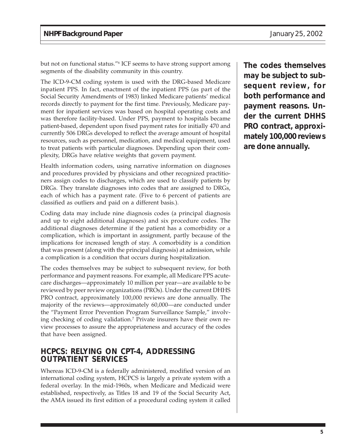but not on functional status."6 ICF seems to have strong support among segments of the disability community in this country.

The ICD-9-CM coding system is used with the DRG-based Medicare inpatient PPS. In fact, enactment of the inpatient PPS (as part of the Social Security Amendments of 1983) linked Medicare patients' medical records directly to payment for the first time. Previously, Medicare payment for inpatient services was based on hospital operating costs and was therefore facility-based. Under PPS, payment to hospitals became patient-based, dependent upon fixed payment rates for initially 470 and currently 506 DRGs developed to reflect the average amount of hospital resources, such as personnel, medication, and medical equipment, used to treat patients with particular diagnoses. Depending upon their complexity, DRGs have relative weights that govern payment.

Health information coders, using narrative information on diagnoses and procedures provided by physicians and other recognized practitioners assign codes to discharges, which are used to classify patients by DRGs. They translate diagnoses into codes that are assigned to DRGs, each of which has a payment rate. (Five to 6 percent of patients are classified as outliers and paid on a different basis.).

Coding data may include nine diagnosis codes (a principal diagnosis and up to eight additional diagnoses) and six procedure codes. The additional diagnoses determine if the patient has a comorbidity or a complication, which is important in assignment, partly because of the implications for increased length of stay. A comorbidity is a condition that was present (along with the principal diagnosis) at admission, while a complication is a condition that occurs during hospitalization.

The codes themselves may be subject to subsequent review, for both performance and payment reasons. For example, all Medicare PPS acutecare discharges—approximately 10 million per year—are available to be reviewed by peer review organizations (PROs). Under the current DHHS PRO contract, approximately 100,000 reviews are done annually. The majority of the reviews—approximately 60,000—are conducted under the "Payment Error Prevention Program Surveillance Sample," involving checking of coding validation.7 Private insurers have their own review processes to assure the appropriateness and accuracy of the codes that have been assigned.

## **HCPCS: RELYING ON CPT-4, ADDRESSING OUTPATIENT SERVICES**

Whereas ICD-9-CM is a federally administered, modified version of an international coding system, HCPCS is largely a private system with a federal overlay. In the mid-1960s, when Medicare and Medicaid were established, respectively, as Titles 18 and 19 of the Social Security Act, the AMA issued its first edition of a procedural coding system it called

**The codes themselves may be subject to subsequent review, for both performance and payment reasons. Under the current DHHS PRO contract, approximately 100,000 reviews are done annually.**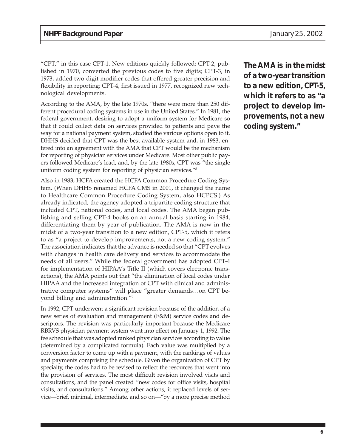"CPT," in this case CPT-1. New editions quickly followed: CPT-2, published in 1970, converted the previous codes to five digits; CPT-3, in 1973, added two-digit modifier codes that offered greater precision and flexibility in reporting; CPT-4, first issued in 1977, recognized new technological developments.

According to the AMA, by the late 1970s, "there were more than 250 different procedural coding systems in use in the United States." In 1981, the federal government, desiring to adopt a uniform system for Medicare so that it could collect data on services provided to patients and pave the way for a national payment system, studied the various options open to it. DHHS decided that CPT was the best available system and, in 1983, entered into an agreement with the AMA that CPT would be the mechanism for reporting of physician services under Medicare. Most other public payers followed Medicare's lead, and, by the late 1980s, CPT was "the single uniform coding system for reporting of physician services."8

Also in 1983, HCFA created the HCFA Common Procedure Coding System. (When DHHS renamed HCFA CMS in 2001, it changed the name to Healthcare Common Procedure Coding System, also HCPCS.) As already indicated, the agency adopted a tripartite coding structure that included CPT, national codes, and local codes. The AMA began publishing and selling CPT-4 books on an annual basis starting in 1984, differentiating them by year of publication. The AMA is now in the midst of a two-year transition to a new edition, CPT-5, which it refers to as "a project to develop improvements, not a new coding system." The association indicates that the advance is needed so that "CPT evolves with changes in health care delivery and services to accommodate the needs of all users." While the federal government has adopted CPT-4 for implementation of HIPAA's Title II (which covers electronic transactions), the AMA points out that "the elimination of local codes under HIPAA and the increased integration of CPT with clinical and administrative computer systems" will place "greater demands…on CPT beyond billing and administration."9

In 1992, CPT underwent a significant revision because of the addition of a new series of evaluation and management (E&M) service codes and descriptors. The revision was particularly important because the Medicare RBRVS physician payment system went into effect on January 1, 1992. The fee schedule that was adopted ranked physician services according to value (determined by a complicated formula). Each value was multiplied by a conversion factor to come up with a payment, with the rankings of values and payments comprising the schedule. Given the organization of CPT by specialty, the codes had to be revised to reflect the resources that went into the provision of services. The most difficult revision involved visits and consultations, and the panel created "new codes for office visits, hospital visits, and consultations." Among other actions, it replaced levels of service—brief, minimal, intermediate, and so on—"by a more precise method

**The AMA is in the midst of a two-year transition to a new edition, CPT-5, which it refers to as "a project to develop improvements, not a new coding system."**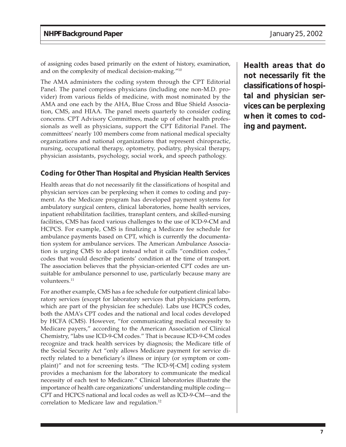of assigning codes based primarily on the extent of history, examination, and on the complexity of medical decision-making."10

The AMA administers the coding system through the CPT Editorial Panel. The panel comprises physicians (including one non-M.D. provider) from various fields of medicine, with most nominated by the AMA and one each by the AHA, Blue Cross and Blue Shield Association, CMS, and HIAA. The panel meets quarterly to consider coding concerns. CPT Advisory Committees, made up of other health professionals as well as physicians, support the CPT Editorial Panel. The committees' nearly 100 members come from national medical specialty organizations and national organizations that represent chiropractic, nursing, occupational therapy, optometry, podiatry, physical therapy, physician assistants, psychology, social work, and speech pathology.

#### **Coding for Other Than Hospital and Physician Health Services**

Health areas that do not necessarily fit the classifications of hospital and physician services can be perplexing when it comes to coding and payment. As the Medicare program has developed payment systems for ambulatory surgical centers, clinical laboratories, home health services, inpatient rehabilitation facilities, transplant centers, and skilled-nursing facilities, CMS has faced various challenges to the use of ICD-9-CM and HCPCS. For example, CMS is finalizing a Medicare fee schedule for ambulance payments based on CPT, which is currently the documentation system for ambulance services. The American Ambulance Association is urging CMS to adopt instead what it calls "condition codes," codes that would describe patients' condition at the time of transport. The association believes that the physician-oriented CPT codes are unsuitable for ambulance personnel to use, particularly because many are volunteers.<sup>11</sup>

For another example, CMS has a fee schedule for outpatient clinical laboratory services (except for laboratory services that physicians perform, which are part of the physician fee schedule). Labs use HCPCS codes, both the AMA's CPT codes and the national and local codes developed by HCFA (CMS). However, "for communicating medical necessity to Medicare payers," according to the American Association of Clinical Chemistry, "labs use ICD-9-CM codes." That is because ICD-9-CM codes recognize and track health services by diagnosis; the Medicare title of the Social Security Act "only allows Medicare payment for service directly related to a beneficiary's illness or injury (or symptom or complaint)" and not for screening tests. "The ICD-9[-CM] coding system provides a mechanism for the laboratory to communicate the medical necessity of each test to Medicare." Clinical laboratories illustrate the importance of health care organizations' understanding multiple coding— CPT and HCPCS national and local codes as well as ICD-9-CM—and the correlation to Medicare law and regulation.<sup>12</sup>

**Health areas that do not necessarily fit the classifications of hospital and physician services can be perplexing when it comes to coding and payment.**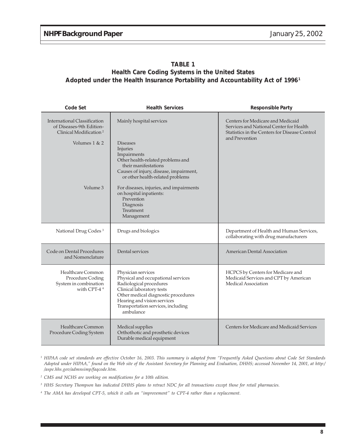#### **TABLE 1 Health Care Coding Systems in the United States Adopted under the Health Insurance Portability and Accountability Act of 19961**

| Code Set                                                                                                                             | <b>Health Services</b>                                                                                                                                                                                                                                                                                                                        | <b>Responsible Party</b>                                                                                                                        |
|--------------------------------------------------------------------------------------------------------------------------------------|-----------------------------------------------------------------------------------------------------------------------------------------------------------------------------------------------------------------------------------------------------------------------------------------------------------------------------------------------|-------------------------------------------------------------------------------------------------------------------------------------------------|
| <b>International Classification</b><br>of Diseases-9th Edition-<br>Clinical Modification <sup>2</sup><br>Volumes $1 & 2$<br>Volume 3 | Mainly hospital services<br><b>Diseases</b><br>Injuries<br>Impairments<br>Other health-related problems and<br>their manifestations<br>Causes of injury, disease, impairment,<br>or other health-related problems<br>For diseases, injuries, and impairments<br>on hospital inpatients:<br>Prevention<br>Diagnosis<br>Treatment<br>Management | Centers for Medicare and Medicaid<br>Services and National Center for Health<br>Statistics in the Centers for Disease Control<br>and Prevention |
| National Drug Codes <sup>3</sup>                                                                                                     | Drugs and biologics                                                                                                                                                                                                                                                                                                                           | Department of Health and Human Services,<br>collaborating with drug manufacturers                                                               |
| Code on Dental Procedures<br>and Nomenclature                                                                                        | Dental services                                                                                                                                                                                                                                                                                                                               | <b>American Dental Association</b>                                                                                                              |
| Healthcare Common<br>Procedure Coding<br>System in combination<br>with CPT-4 $4$                                                     | Physician services<br>Physical and occupational services<br>Radiological procedures<br>Clinical laboratory tests<br>Other medical diagnostic procedures<br>Hearing and vision services<br>Transportation services, including<br>ambulance                                                                                                     | HCPCS by Centers for Medicare and<br>Medicaid Services and CPT by American<br>Medical Association                                               |
| Healthcare Common<br>Procedure Coding System                                                                                         | Medical supplies<br>Orthothotic and prosthetic devices<br>Durable medical equipment                                                                                                                                                                                                                                                           | Centers for Medicare and Medicaid Services                                                                                                      |

*<sup>1</sup> HIPAA code set standards are effective October 16, 2003. This summary is adapted from "Frequently Asked Questions about Code Set Standards Adopted under HIPAA," found on the Web site of the Assistant Secretary for Planning and Evaluation, DHHS; accessed November 14, 2001, at http:/ /aspe.hhs.gov/admnsimp/faqcode.htm.*

*<sup>2</sup> CMS and NCHS are working on modifications for a 10th edition.*

*<sup>3</sup> HHS Secretary Thompson has indicated DHHS plans to retract NDC for all transactions except those for retail pharmacies.*

*<sup>4</sup> The AMA has developed CPT-5, which it calls an "improvement" to CPT-4 rather than a replacement.*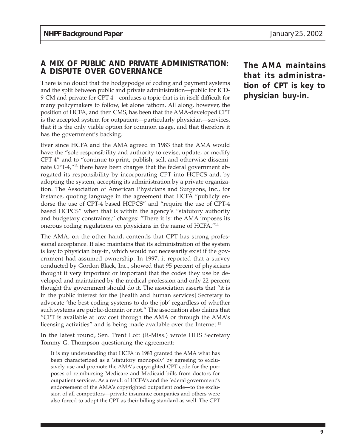## **A MIX OF PUBLIC AND PRIVATE ADMINISTRATION: A DISPUTE OVER GOVERNANCE**

There is no doubt that the hodgepodge of coding and payment systems and the split between public and private administration—public for ICD-9-CM and private for CPT-4—confuses a topic that is in itself difficult for many policymakers to follow, let alone fathom. All along, however, the position of HCFA, and then CMS, has been that the AMA-developed CPT is the accepted system for outpatient—particularly physician—services, that it is the only viable option for common usage, and that therefore it has the government's backing.

Ever since HCFA and the AMA agreed in 1983 that the AMA would have the "sole responsibility and authority to revise, update, or modify CPT-4" and to "continue to print, publish, sell, and otherwise disseminate CPT-4,"13 there have been charges that the federal government abrogated its responsibility by incorporating CPT into HCPCS and, by adopting the system, accepting its administration by a private organization. The Association of American Physicians and Surgeons, Inc., for instance, quoting language in the agreement that HCFA "publicly endorse the use of CPT-4 based HCPCS" and "require the use of CPT-4 based HCPCS" when that is within the agency's "statutory authority and budgetary constraints," charges: "There it is: the AMA imposes its onerous coding regulations on physicians in the name of HCFA."14

The AMA, on the other hand, contends that CPT has strong professional acceptance. It also maintains that its administration of the system is key to physician buy-in, which would not necessarily exist if the government had assumed ownership. In 1997, it reported that a survey conducted by Gordon Black, Inc., showed that 95 percent of physicians thought it very important or important that the codes they use be developed and maintained by the medical profession and only 22 percent thought the government should do it. The association asserts that "it is in the public interest for the [health and human services] Secretary to advocate 'the best coding systems to do the job' regardless of whether such systems are public-domain or not." The association also claims that "CPT is available at low cost through the AMA or through the AMA's licensing activities" and is being made available over the Internet.<sup>15</sup>

In the latest round, Sen. Trent Lott (R-Miss.) wrote HHS Secretary Tommy G. Thompson questioning the agreement:

It is my understanding that HCFA in 1983 granted the AMA what has been characterized as a 'statutory monopoly' by agreeing to exclusively use and promote the AMA's copyrighted CPT code for the purposes of reimbursing Medicare and Medicaid bills from doctors for outpatient services. As a result of HCFA's and the federal government's endorsement of the AMA's copyrighted outpatient code—to the exclusion of all competitors—private insurance companies and others were also forced to adopt the CPT as their billing standard as well. The CPT

**The AMA maintains that its administration of CPT is key to physician buy-in.**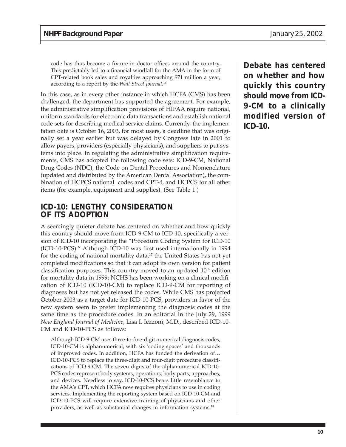code has thus become a fixture in doctor offices around the country. This predictably led to a financial windfall for the AMA in the form of CPT-related book sales and royalties approaching \$71 million a year, according to a report by the *Wall Street Journal*. 16

In this case, as in every other instance in which HCFA (CMS) has been challenged, the department has supported the agreement. For example, the administrative simplification provisions of HIPAA require national, uniform standards for electronic data transactions and establish national code sets for describing medical service claims. Currently, the implementation date is October 16, 2003, for most users, a deadline that was originally set a year earlier but was delayed by Congress late in 2001 to allow payers, providers (especially physicians), and suppliers to put systems into place. In regulating the administrative simplification requirements, CMS has adopted the following code sets: ICD-9-CM, National Drug Codes (NDC), the Code on Dental Procedures and Nomenclature (updated and distributed by the American Dental Association), the combination of HCPCS national codes and CPT-4, and HCPCS for all other items (for example, equipment and supplies). (See Table 1.)

#### **ICD-10: LENGTHY CONSIDERATION OF ITS ADOPTION**

A seemingly quieter debate has centered on whether and how quickly this country should move from ICD-9-CM to ICD-10, specifically a version of ICD-10 incorporating the "Procedure Coding System for ICD-10 (ICD-10-PCS)." Although ICD-10 was first used internationally in 1994 for the coding of national mortality data, $17$  the United States has not yet completed modifications so that it can adopt its own version for patient classification purposes. This country moved to an updated  $10<sup>th</sup>$  edition for mortality data in 1999; NCHS has been working on a clinical modification of ICD-10 (ICD-10-CM) to replace ICD-9-CM for reporting of diagnoses but has not yet released the codes. While CMS has projected October 2003 as a target date for ICD-10-PCS, providers in favor of the new system seem to prefer implementing the diagnosis codes at the same time as the procedure codes. In an editorial in the July 29, 1999 *New England Journal of Medicine*, Lisa I. Iezzoni, M.D., described ICD-10- CM and ICD-10-PCS as follows:

Although ICD-9-CM uses three-to-five-digit numerical diagnosis codes, ICD-10-CM is alphanumerical, with six 'coding spaces' and thousands of improved codes. In addition, HCFA has funded the derivation of… ICD-10-PCS to replace the three-digit and four-digit procedure classifications of ICD-9-CM. The seven digits of the alphanumerical ICD-10- PCS codes represent body systems, operations, body parts, approaches, and devices. Needless to say, ICD-10-PCS bears little resemblance to the AMA's CPT, which HCFA now requires physicians to use in coding services. Implementing the reporting system based on ICD-10-CM and ICD-10-PCS will require extensive training of physicians and other providers, as well as substantial changes in information systems.18

**Debate has centered on whether and how quickly this country should move from ICD-9-CM to a clinically modified version of ICD-10.**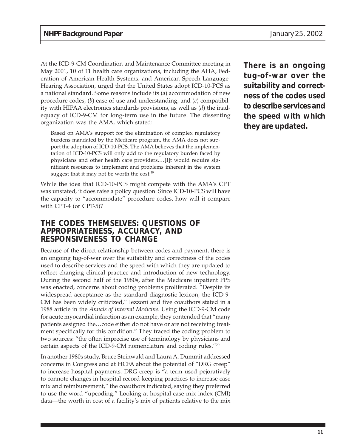At the ICD-9-CM Coordination and Maintenance Committee meeting in May 2001, 10 of 11 health care organizations, including the AHA, Federation of American Health Systems, and American Speech-Language-Hearing Association, urged that the United States adopt ICD-10-PCS as a national standard. Some reasons include its (*a*) accommodation of new procedure codes, (*b*) ease of use and understanding, and (*c*) compatibility with HIPAA electronics standards provisions, as well as (*d*) the inadequacy of ICD-9-CM for long-term use in the future. The dissenting organization was the AMA, which stated:

Based on AMA's support for the elimination of complex regulatory burdens mandated by the Medicare program, the AMA does not support the adoption of ICD-10-PCS. The AMA believes that the implementation of ICD-10-PCS will only add to the regulatory burden faced by physicians and other health care providers.…[I]t would require significant resources to implement and problems inherent in the system suggest that it may not be worth the cost.<sup>19</sup>

While the idea that ICD-10-PCS might compete with the AMA's CPT was unstated, it does raise a policy question. Since ICD-10-PCS will have the capacity to "accommodate" procedure codes, how will it compare with CPT-4 (or CPT-5)?

### **THE CODES THEMSELVES: QUESTIONS OF APPROPRIATENESS, ACCURACY, AND RESPONSIVENESS TO CHANGE**

Because of the direct relationship between codes and payment, there is an ongoing tug-of-war over the suitability and correctness of the codes used to describe services and the speed with which they are updated to reflect changing clinical practice and introduction of new technology. During the second half of the 1980s, after the Medicare inpatient PPS was enacted, concerns about coding problems proliferated. "Despite its widespread acceptance as the standard diagnostic lexicon, the ICD-9- CM has been widely criticized," Iezzoni and five coauthors stated in a 1988 article in the *Annals of Internal Medicine*. Using the ICD-9-CM code for acute myocardial infarction as an example, they contended that "many patients assigned the…code either do not have or are not receiving treatment specifically for this condition." They traced the coding problem to two sources: "the often imprecise use of terminology by physicians and certain aspects of the ICD-9-CM nomenclature and coding rules."20

In another 1980s study, Bruce Steinwald and Laura A. Dummit addressed concerns in Congress and at HCFA about the potential of "DRG creep" to increase hospital payments. DRG creep is "a term used pejoratively to connote changes in hospital record-keeping practices to increase case mix and reimbursement," the coauthors indicated, saying they preferred to use the word "upcoding." Looking at hospital case-mix-index (CMI) data—the worth in cost of a facility's mix of patients relative to the mix

**There is an ongoing tug-of-war over the suitability and correctness of the codes used to describe services and the speed with which they are updated.**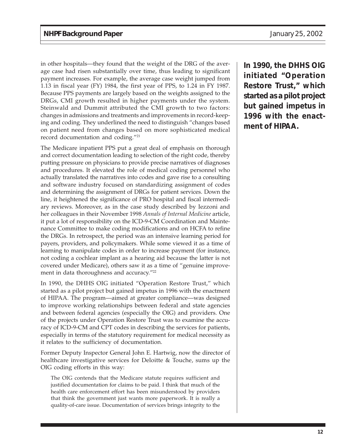in other hospitals—they found that the weight of the DRG of the average case had risen substantially over time, thus leading to significant payment increases. For example, the average case weight jumped from 1.13 in fiscal year (FY) 1984, the first year of PPS, to 1.24 in FY 1987. Because PPS payments are largely based on the weights assigned to the DRGs, CMI growth resulted in higher payments under the system. Steinwald and Dummit attributed the CMI growth to two factors: changes in admissions and treatments and improvements in record-keeping and coding. They underlined the need to distinguish "changes based on patient need from changes based on more sophisticated medical record documentation and coding."21

The Medicare inpatient PPS put a great deal of emphasis on thorough and correct documentation leading to selection of the right code, thereby putting pressure on physicians to provide precise narratives of diagnoses and procedures. It elevated the role of medical coding personnel who actually translated the narratives into codes and gave rise to a consulting and software industry focused on standardizing assignment of codes and determining the assignment of DRGs for patient services. Down the line, it heightened the significance of PRO hospital and fiscal intermediary reviews. Moreover, as in the case study described by Iezzoni and her colleagues in their November 1998 *Annals of Internal Medicine* article, it put a lot of responsibility on the ICD-9-CM Coordination and Maintenance Committee to make coding modifications and on HCFA to refine the DRGs. In retrospect, the period was an intensive learning period for payers, providers, and policymakers. While some viewed it as a time of learning to manipulate codes in order to increase payment (for instance, not coding a cochlear implant as a hearing aid because the latter is not covered under Medicare), others saw it as a time of "genuine improvement in data thoroughness and accuracy."<sup>22</sup>

In 1990, the DHHS OIG initiated "Operation Restore Trust," which started as a pilot project but gained impetus in 1996 with the enactment of HIPAA. The program—aimed at greater compliance—was designed to improve working relationships between federal and state agencies and between federal agencies (especially the OIG) and providers. One of the projects under Operation Restore Trust was to examine the accuracy of ICD-9-CM and CPT codes in describing the services for patients, especially in terms of the statutory requirement for medical necessity as it relates to the sufficiency of documentation.

Former Deputy Inspector General John E. Hartwig, now the director of healthcare investigative services for Deloitte & Touche, sums up the OIG coding efforts in this way:

The OIG contends that the Medicare statute requires sufficient and justified documentation for claims to be paid. I think that much of the health care enforcement effort has been misunderstood by providers that think the government just wants more paperwork. It is really a quality-of-care issue. Documentation of services brings integrity to the **In 1990, the DHHS OIG initiated "Operation Restore Trust," which started as a pilot project but gained impetus in 1996 with the enactment of HIPAA.**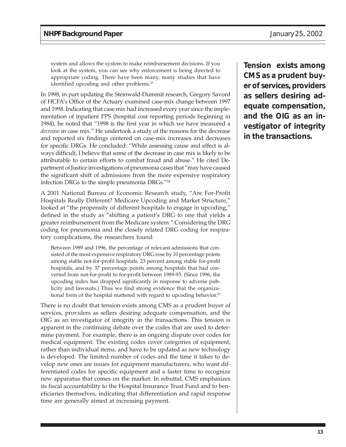system and allows the system to make reimbursement decisions. If you look at the system, you can see why enforcement is being directed to appropriate coding. There have been many, many studies that have identified upcoding and other problems.<sup>23</sup>

In 1998, in part updating the Steinwald-Dummit research, Gregory Savord of HCFA's Office of the Actuary examined case-mix change between 1997 and 1998. Indicating that case mix had increased every year since the implementation of inpatient PPS (hospital cost reporting periods beginning in 1984), he noted that "1998 is the first year in which we have measured a *decrease* in case mix." He undertook a study of the reasons for the decrease and reported six findings centered on case-mix increases and decreases for specific DRGs. He concluded: "While assessing cause and effect is always difficult, I believe that some of the decrease in case mix is likely to be attributable to certain efforts to combat fraud and abuse." He cited Department of Justice investigations of pneumonia cases that "may have caused the significant shift of admissions from the more expensive respiratory infection DRGs to the simple pneumonia DRGs."24

A 2001 National Bureau of Economic Research study, "Are For-Profit Hospitals Really Different? Medicare Upcoding and Market Structure," looked at "the propensity of different hospitals to engage in upcoding," defined in the study as "shifting a patient's DRG to one that yields a greater reimbursement from the Medicare system." Considering the DRG coding for pneumonia and the closely related DRG coding for respiratory complications, the researchers found:

Between 1989 and 1996, the percentage of relevant admissions that consisted of the most expensive respiratory DRG rose by 10 percentage points among stable not-for-profit hospitals, 23 percent among stable for-profit hospitals, and by 37 percentage points among hospitals that had converted from not-for-profit to for-profit between 1989-93. (Since 1996, the upcoding index has dropped significantly in response to adverse publicity and lawsuits.) Thus we find strong evidence that the organizational form of the hospital mattered with regard to upcoding behavior.<sup>25</sup>

There is no doubt that tension exists among CMS as a prudent buyer of services, providers as sellers desiring adequate compensation, and the OIG as an investigator of integrity in the transactions. This tension is apparent in the continuing debate over the codes that are used to determine payment. For example, there is an ongoing dispute over codes for medical equipment. The existing codes cover categories of equipment, rather than individual items, and have to be updated as new technology is developed. The limited number of codes and the time it takes to develop new ones are issues for equipment manufacturers, who want differentiated codes for specific equipment and a faster time to recognize new apparatus that comes on the market. In rebuttal, CMS emphasizes its fiscal accountability to the Hospital Insurance Trust Fund and to beneficiaries themselves, indicating that differentiation and rapid response time are generally aimed at increasing payment.

**Tension exists among CMS as a prudent buyer of services, providers as sellers desiring adequate compensation, and the OIG as an investigator of integrity in the transactions.**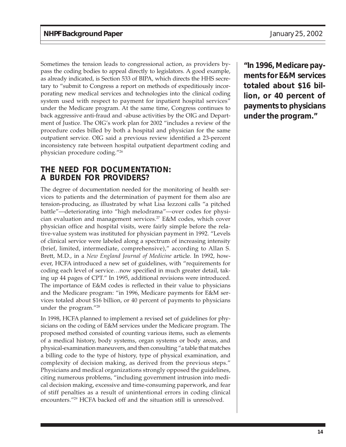Sometimes the tension leads to congressional action, as providers bypass the coding bodies to appeal directly to legislators. A good example, as already indicated, is Section 533 of BIPA, which directs the HHS secretary to "submit to Congress a report on methods of expeditiously incorporating new medical services and technologies into the clinical coding system used with respect to payment for inpatient hospital services" under the Medicare program. At the same time, Congress continues to back aggressive anti-fraud and -abuse activities by the OIG and Department of Justice. The OIG's work plan for 2002 "includes a review of the procedure codes billed by both a hospital and physician for the same outpatient service. OIG said a previous review identified a 23-percent inconsistency rate between hospital outpatient department coding and physician procedure coding."26

### **THE NEED FOR DOCUMENTATION: A BURDEN FOR PROVIDERS?**

The degree of documentation needed for the monitoring of health services to patients and the determination of payment for them also are tension-producing, as illustrated by what Lisa Iezzoni calls "a pitched battle"—deteriorating into "high melodrama"—over codes for physician evaluation and management services.27 E&M codes, which cover physician office and hospital visits, were fairly simple before the relative-value system was instituted for physician payment in 1992. "Levels of clinical service were labeled along a spectrum of increasing intensity (brief, limited, intermediate, comprehensive)," according to Allan S. Brett, M.D., in a *New England Journal of Medicine* article. In 1992, however, HCFA introduced a new set of guidelines, with "requirements for coding each level of service…now specified in much greater detail, taking up 44 pages of CPT." In 1995, additional revisions were introduced. The importance of E&M codes is reflected in their value to physicians and the Medicare program: "in 1996, Medicare payments for E&M services totaled about \$16 billion, or 40 percent of payments to physicians under the program."28

In 1998, HCFA planned to implement a revised set of guidelines for physicians on the coding of E&M services under the Medicare program. The proposed method consisted of counting various items, such as elements of a medical history, body systems, organ systems or body areas, and physical-examination maneuvers, and then consulting "a table that matches a billing code to the type of history, type of physical examination, and complexity of decision making, as derived from the previous steps." Physicians and medical organizations strongly opposed the guidelines, citing numerous problems, "including government intrusion into medical decision making, excessive and time-consuming paperwork, and fear of stiff penalties as a result of unintentional errors in coding clinical encounters."29 HCFA backed off and the situation still is unresolved.

**"In 1996, Medicare payments for E&M services totaled about \$16 billion, or 40 percent of payments to physicians under the program."**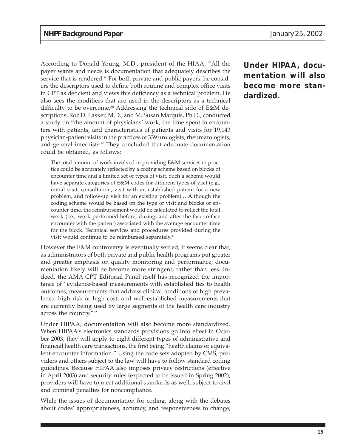According to Donald Young, M.D., president of the HIAA, "All the payer wants and needs is documentation that adequately describes the service that is rendered." For both private and public payers, he considers the descriptors used to define both routine and complex office visits in CPT as deficient and views this deficiency as a technical problem. He also sees the modifiers that are used in the descriptors as a technical difficulty to be overcome.30 Addressing the technical side of E&M descriptions, Roz D. Lasker, M.D., and M. Susan Marquis, Ph.D., conducted a study on "the amount of physicians' work, the time spent in encounters with patients, and characteristics of patients and visits for 19,143 physician-patient visits in the practices of 339 urologists, rheumatologists, and general internists." They concluded that adequate documentation could be obtained, as follows:

The total amount of work involved in providing E&M services in practice could be accurately reflected by a coding scheme based on blocks of encounter time and a limited set of types of visit. Such a scheme would have separate categories of E&M codes for different types of visit (e.g., initial visit, consultation, visit with an established patient for a new problem, and follow-up visit for an existing problem).…Although the coding scheme would be based on the type of visit and blocks of encounter time, the reimbursement would be calculated to reflect the total work (i.e., work performed before, during, and after the face-to-face encounter with the patient) associated with the average encounter time for the block. Technical services and procedures provided during the visit would continue to be reimbursed separately.<sup>31</sup>

However the E&M controversy is eventually settled, it seems clear that, as administrators of both private and public health programs put greater and greater emphasis on quality monitoring and performance, documentation likely will be become more stringent, rather than less. Indeed, the AMA CPT Editorial Panel itself has recognized the importance of "evidence-based measurements with established ties to health outcomes; measurements that address clinical conditions of high prevalence, high risk or high cost; and well-established measurements that are currently being used by large segments of the health care industry across the country."32

Under HIPAA, documentation will also become more standardized. When HIPAA's electronics standards provisions go into effect in October 2003, they will apply to eight different types of administrative and financial health care transactions, the first being "health claims or equivalent encounter information." Using the code sets adopted by CMS, providers and others subject to the law will have to follow standard coding guidelines. Because HIPAA also imposes privacy restrictions (effective in April 2003) and security rules (expected to be issued in Spring 2002), providers will have to meet additional standards as well, subject to civil and criminal penalties for noncompliance.

While the issues of documentation for coding, along with the debates about codes' appropriateness, accuracy, and responsiveness to change;

**Under HIPAA, documentation will also become more standardized.**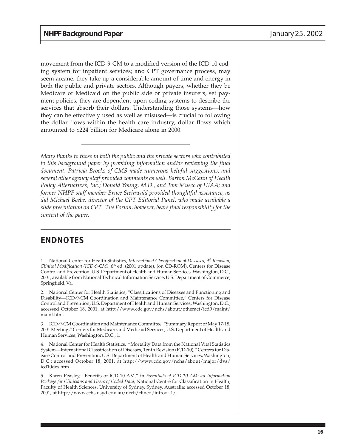movement from the ICD-9-CM to a modified version of the ICD-10 coding system for inpatient services; and CPT governance process, may seem arcane, they take up a considerable amount of time and energy in both the public and private sectors. Although payers, whether they be Medicare or Medicaid on the public side or private insurers, set payment policies, they are dependent upon coding systems to describe the services that absorb their dollars. Understanding those systems—how they can be effectively used as well as misused—is crucial to following the dollar flows within the health care industry, dollar flows which amounted to \$224 billion for Medicare alone in 2000.

*Many thanks to those in both the public and the private sectors who contributed to this background paper by providing information and/or reviewing the final document. Patricia Brooks of CMS made numerous helpful suggestions, and several other agency staff provided comments as well. Barton McCann of Health Policy Alternatives, Inc.; Donald Young, M.D., and Tom Musco of HIAA; and former NHPF staff member Bruce Steinwald provided thoughtful assistance, as did Michael Beebe, director of the CPT Editorial Panel, who made available a slide presentation on CPT. The Forum, however, bears final responsibility for the content of the paper.*

# **ENDNOTES**

1. National Center for Health Statistics, *International Classification of Diseases, 9th Revision, Clinical Modification (ICD-9-CM),* 6th ed. (2001 update), (on CD-ROM), Centers for Disease Control and Prevention, U.S. Department of Health and Human Services, Washington, D.C., 2001; available from National Technical Information Service, U.S. Department of Commerce, Springfield, Va.

2. National Center for Health Statistics, "Classifications of Diseases and Functioning and Disability—ICD-9-CM Coordination and Maintenance Committee," Centers for Disease Control and Prevention, U.S. Department of Health and Human Services, Washington, D.C.; accessed October 18, 2001, at http://www.cdc.gov/nchs/about/otheract/icd9/maint/ maint.htm.

3. ICD-9-CM Coordination and Maintenance Committee, "Summary Report of May 17-18, 2001 Meeting," Centers for Medicare and Medicaid Services, U.S. Department of Health and Human Services, Washington, D.C., 1.

4. National Center for Health Statistics, "Mortality Data from the National Vital Statistics System—International Classification of Diseases, Tenth Revision (ICD-10)," Centers for Disease Control and Prevention, U.S. Department of Health and Human Services, Washington, D.C.; accessed October 18, 2001, at http://www.cdc.gov/nchs/about/major/dvs/ icd10des.htm.

5. Karen Peasley, "Benefits of ICD-10-AM," in *Essentials of ICD-10-AM: an Information Package for Clinicians and Users of Coded Data,* National Centre for Classification in Health, Faculty of Health Sciences, University of Sydney, Sydney, Australia; accessed October 18, 2001, at http://www.cchs.usyd.edu.au/ncch/clined/introd~1/.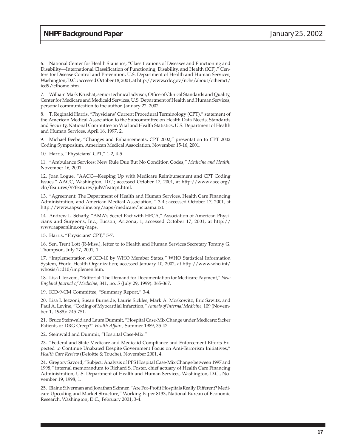6. National Center for Health Statistics, "Classifications of Diseases and Functioning and Disability—International Classification of Functioning, Disability, and Health (ICF)," Centers for Disease Control and Prevention, U.S. Department of Health and Human Services, Washington, D.C.; accessed October 18, 2001, at http://www.cdc.gov/nchs/about/otheract/ icd9/icfhome.htm.

7. William Mark Krushat, senior technical advisor, Office of Clinical Standards and Quality, Center for Medicare and Medicaid Services, U.S. Department of Health and Human Services, personal communication to the author, January 22, 2002.

8. T. Reginald Harris, "Physicians' Current Procedural Terminology (CPT)," statement of the American Medical Association to the Subcommittee on Health Data Needs, Standards and Security, National Committee on Vital and Health Statistics, U.S. Department of Health and Human Services, April 16, 1997, 2.

9. Michael Beebe, "Changes and Enhancements, CPT 2002," presentation to CPT 2002 Coding Symposium, American Medical Association, November 15-16, 2001.

10. Harris, "Physicians' CPT," 1-2, 4-5.

11. "Ambulance Services: New Rule Due But No Condition Codes," *Medicine and Health,* November 16, 2001.

12. Joan Logue, "AACC—Keeping Up with Medicare Reimbursement and CPT Coding Issues," AACC, Washington, D.C.; accessed October 17, 2001, at http://www.aacc.org/ cln/features/97features/jul97featcpt.html.

13. "Agreement: The Department of Health and Human Services, Health Care Financing Administration, and American Medical Association, " 3-4.; accessed October 17, 2001, at http://www.aapsonline.org/aaps/medicare/hctaama.txt.

14. Andrew L. Schafly, "AMA's Secret Pact with HFCA," Association of American Physicians and Surgeons, Inc., Tucson, Arizona, 1; accessed October 17, 2001, at http:// www.aapsonline.org/aaps.

15. Harris, "Physicians' CPT," 5-7.

16. Sen. Trent Lott (R-Miss.), letter to to Health and Human Services Secretary Tommy G. Thompson, July 27, 2001, 1.

17. "Implementation of ICD-10 by WHO Member States," WHO Statistical Information System, World Health Organization; accessed January 10, 2002, at http://www.who.int/ whosis/icd10/implemen.htm.

18. Lisa I. Iezzoni, "Editorial: The Demand for Documentation for Medicare Payment," *New England Journal of Medicine,* 341, no. 5 (July 29, 1999): 365-367.

19. ICD-9-CM Committee, "Summary Report," 3-4.

20. Lisa I. Iezzoni, Susan Burnside, Laurie Sickles, Mark A. Moskowitz, Eric Sawitz, and Paul A. Levine, "Coding of Myocardial Infarction," *Annals of Internal Medicine,* 109 (November 1, 1988): 745-751.

21. Bruce Steinwald and Laura Dummit, "Hospital Case-Mix Change under Medicare: Sicker Patients or DRG Creep?" *Health Affairs,* Summer 1989, 35-47.

22. Steinwald and Dummit, "Hospital Case-Mix."

23. "Federal and State Medicare and Medicaid Compliance and Enforcement Efforts Expected to Continue Unabated Despite Government Focus on Anti-Terrorism Initiatives," *Health Care Review* (Deloitte & Touche), November 2001, 4.

24. Gregory Savord, "Subject: Analysis of PPS Hospital Case-Mix Change between 1997 and 1998," internal memorandum to Richard S. Foster, chief actuary of Health Care Financing Administration, U.S. Department of Health and Human Services, Washington, D.C., November 19, 1998, 1.

25. Elaine Silverman and Jonathan Skinner, "Are For-Profit Hospitals Really Different? Medicare Upcoding and Market Structure," Working Paper 8133, National Bureau of Economic Research, Washington, D.C., February 2001, 3-4.